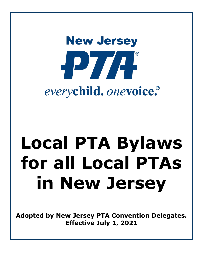# **New Jersey** HPT/A everychild. onevoice.

## **Local PTA Bylaws for all Local PTAs in New Jersey**

**Adopted by New Jersey PTA Convention Delegates. Effective July 1, 2021**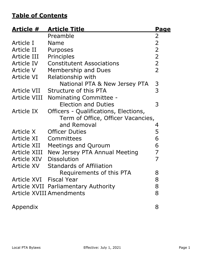### **Table of Contents**

| <u>Article #</u>        | <b>Article Title</b>                  | <u>Page</u>    |
|-------------------------|---------------------------------------|----------------|
|                         | Preamble                              | $\overline{2}$ |
| Article I               | Name                                  | $\overline{2}$ |
| Article II              | Purposes                              | $\overline{2}$ |
| Article III             | Principles                            | $\overline{2}$ |
| Article IV              | <b>Constitutent Associations</b>      | $\overline{2}$ |
| Article V               | Membership and Dues                   | $\overline{2}$ |
| Article VI              | Relationship with                     |                |
|                         | National PTA & New Jersey PTA         | 3              |
| Article VII             | Structure of this PTA                 | 3              |
| <b>Article VIII</b>     | Nominating Committee -                |                |
|                         | <b>Election and Duties</b>            | 3              |
| Article IX              | Officers - Qualifications, Elections, |                |
|                         | Term of Office, Officer Vacancies,    |                |
|                         | and Removal                           | 4              |
| Article X               | <b>Officer Duties</b>                 | 5              |
| Article XI              | Committees                            | 6              |
| Article XII             | Meetings and Quroum                   | 6              |
| <b>Article XIII</b>     | New Jersey PTA Annual Meeting         | 7              |
| Article XIV             | <b>Dissolution</b>                    | 7              |
| <b>Article XV</b>       | <b>Standards of Affiliation</b>       |                |
|                         | Requirements of this PTA              | 8              |
| Article XVI Fiscal Year |                                       | 8              |
|                         | Article XVII Parliamentary Authority  | 8              |
|                         | <b>Article XVIII Amendments</b>       | 8              |
| Appendix                |                                       | 8              |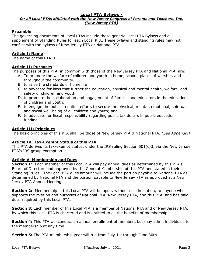#### **Local PTA Bylaws -**

#### *for all Local PTAs affiliated with the New Jersey Congress of Parents and Teachers, Inc. (New Jersey PTA)*

#### **Preamble**

The governing documents of Local PTAs include these generic Local PTA Bylaws and a supplement of Standing Rules for each Local PTA. These bylaws and standing rules may not conflict with the bylaws of New Jersey PTA or National PTA.

#### **Article I: Name**

The name of this PTA is

#### **Article II: Purposes**

The purposes of this PTA, in common with those of the New Jersey PTA and National PTA, are:

- A. To promote the welfare of children and youth in home, school, places of worship, and throughout the community;
- B. to raise the standards of home life;
- C. to advocate for laws that further the education, physical and mental health, welfare, and safety of children and youth;
- D. to promote the collaboration and engagement of families and educators in the education of children and youth;
- E. to engage the public in united efforts to secure the physical, mental, emotional, spiritual, and social well-being of all children and youth; and
- F. to advocate for fiscal responsibility regarding public tax dollars in public education funding.

#### **Article III: Principles**

The basic principles of this PTA shall be those of New Jersey PTA & National PTA. *(See Appendix)*

#### **Article IV: Tax-Exempt Status of this PTA**

This PTA derives its tax-exempt status, under the IRS ruling Section 501(c)3, via the New Jersey PTA's IRS group exemption.

#### **Article V: Membership and Dues**

**Section 1:** Each member of this Local PTA will pay annual dues as determined by this PTA's Board of Directors and approved by the General Membership of this PTA and stated in their Standing Rules. The Local PTA dues amount will include the portion payable to National PTA as determined by National PTA and the portion payable to New Jersey PTA as approved at a New Jersey PTA Annual Meeting.

**Section 2:** Membership in this Local PTA will be open, without discrimination, to anyone who supports the mission and purposes of National PTA, New Jersey PTA, and this PTA, and has paid dues required by this Local PTA.

**Section 3:** Each member of this Local PTA is a member of National PTA and of New Jersey PTA, by which this Local PTA is chartered and is entitled to all the benefits of membership.

**Section 4:** This PTA will conduct an annual enrollment of members but may admit individuals to the membership at any time.

**Section 5:** The PTA membership year will run from July 1st through June 30th.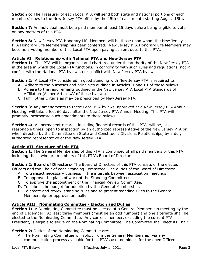**Section 6:** The Treasurer of each Local PTA will send both state and national portions of each members' dues to the New Jersey PTA office by the 15th of each month starting August 15th.

**Section 7:** An individual must be a paid member at least 15 days before being eligible to vote on any matters of this PTA.

**Section 8:** New Jersey PTA Honorary Life Members will be those upon whom the New Jersey PTA Honorary Life Membership has been conferred. New Jersey PTA Honorary Life Members may become a voting member of this Local PTA upon paying current dues to this PTA.

#### **Article VI: Relationship with National PTA and New Jersey PTA**

**Section 1:** This PTA will be organized and chartered under the authority of the New Jersey PTA in the area in which the Local PTA functions, in conformity with such rules and regulations, not in conflict with the National PTA bylaws, nor conflict with New Jersey PTA bylaws.

**Section 2:** A Local PTA considered in good standing with New Jersey PTA is required to:

- A. Adhere to the purposes and principles outlined in Articles II and III of these bylaws.
- B. Adhere to the requirements outlined in the New Jersey PTA Local PTA Standards of Affiliation (As per Article XV of these bylaws).
- C. Fulfill other criteria as may be prescribed by New Jersey PTA.

**Section 3:** Any amendments to these Local PTA bylaws, approved at a New Jersey PTA Annual Meeting, will take effect 60 days after the New Jersey PTA Annual Meeting. This PTA will promptly incorporate such amendments to these bylaws.

**Section 4:** All permanent records, including financial records of this PTA, will be, at all reasonable times, open to inspection by an authorized representative of the New Jersey PTA or when directed by the Committee on State and Constituent Divisions Relationships, by a duly authorized representative of the New Jersey PTA.

#### **Article VII: Structure of this PTA**

**Section 1:** The General Membership of this PTA is comprised of all paid members of this PTA, including those who are members of this PTA's Board of Directors.

**Section 2: Board of Directors**- The Board of Directors of this PTA consists of the elected Officers and the Chair of each Standing Committee. The duties of the Board of Directors:

- A. To transact necessary business in the intervals between association meetings.
- B. To approve the plans of work of the Standing Committees.
- C. To approve the appointment of the Financial Review Committee.
- D. To submit the budget for adoption by the General Membership.
- E. To create and review standing rules and to present standing rules to the General Membership for approval annually.

#### **Article VIII: Nominating Committee - Election and Duties**

**Section 1:** A Nominating Committee must be elected at a General Membership meeting by the end of December. At least three members (must be an odd number) and one alternate shall be elected to the Nominating Committee. Any current member, excluding the current PTA President, is eligible to serve on the Nominating Committee. The Committee shall elect its Chair.

#### **Section 2:** Duties of the Nominating Committee are:

A. The Nominating Committee will solicit from the General Membership, via any communication process available for this PTA's use, nominees for the open Officer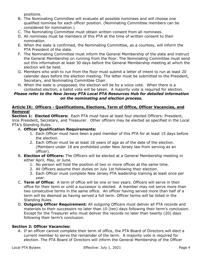positions.

- B. The Nominating Committee will evaluate all possible nominees and will choose one qualified nominee for each officer position. (Nominating Committee members can be considered for nomination.)
- C. The Nominating Committee must obtain written consent from all nominees.
- D. All nominees must be members of this PTA at the time of written consent to their nomination.
- E. When the slate is confirmed, the Nominating Committee, as a courtesy, will inform the PTA President of the slate.
- F. The Nominating Committee must inform the General Membership of the slate and instruct the General Membership on running from the floor. The Nominating Committee must send out this information at least 30 days before the General Membership meeting at which the election will be held.
- G. Members who wish to run from the floor must submit a letter of intent to run at least 20 calendar days before the election meeting. The letter must be submitted to the President, Secretary, and Nominating Committee Chair.
- H. When the slate is unopposed, the election will be by a voice vote. When there is a contested election, a ballot vote will be taken. A majority vote is required for election.

#### *Please refer to the New Jersey PTA Local PTA Resources Hub for detailed information on the nominating and election process.*

#### **Article IX: Officers - Qualifications, Elections, Term of Office, Officer Vacancies, and Removal**

**Section 1: Elected Officers:** Each PTA must have at least four elected Officers: President, Vice President, Secretary, and Treasurer. Other officers may be elected as specified in the Local PTA's Standing Rules.

#### A. **Officer Qualification Requirements:**

- 1. Each Officer must have been a paid member of this PTA for at least 15 days before the election.
- 2. Each Officer must be at least 18 years of age as of the date of the election. (Members under 18 are prohibited under New Jersey law from serving as an officer).
- B. **Election of Officers:** The Officers will be elected at a General Membership meeting in either April, May, or June.
	- 1. No person will hold the position of two or more offices at the same time.
	- 2. All Officers assume their duties on July 1st following their election.
	- 3. Each Officer must complete New Jersey PTA leadership training at least once per year.
- C. **Term of Office:** A term of office will be one or two years. Officers will serve in their office for their term or until a successor is elected. A member may not serve more than two consecutive terms in the same office. An officer having served more than half of a term will be deemed as having served a full term. Officer terms will be listed in the Standing Rules.
- D. **Outgoing Officer Requirement:** All outgoing Officers must deliver all PTA records and materials to their successors no later than 10 (ten) days following their term's conclusion. Except for the Treasurer who must deliver the records no later than twenty (20) days following their term's conclusion.

#### **Section 2: Officer Vacancies:**

A. If an officer cannot complete their term of office, the PTA Board of Directors will elect a current member to serve the remainder of the term. A majority vote is required for election. The PTA Board of Directors will inform the General Membership of the Officer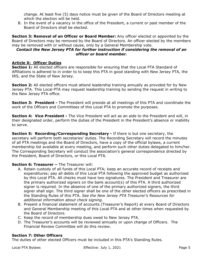change. At least five (5) days notice must be given of the Board of Directors meeting at which the election will be held.

B. In the event of a vacancy in the office of the President, a current or past member of the Board of Directors shall be elected.

**Section 3: Removal of an Officer or Board Member:** Any officer elected or appointed by the Board of Directors may be removed by the Board of Directors. An officer elected by the members may be removed with or without cause, only by a General Membership vote.

#### *Contact the New Jersey PTA for further instruction if considering the removal of an officer or board member.*

#### **Article X: Officer Duties**

**Section 1:** All elected officers are responsible for ensuring that the Local PTA Standard of Affiliations is adhered to in order to to keep this PTA in good standing with New Jersey PTA, the IRS, and the State of New Jersey.

**Section 2:** All elected officers must attend leadership training annually as provided for by New Jersey PTA. This Local PTA may request leadership training by sending the request in writing to the New Jersey PTA office.

**Section 3: President -** The President will preside at all meetings of this PTA and coordinate the work of the Officers and Committees of this Local PTA to promote the purposes.

**Section 4: Vice President -** The Vice President will act as an aide to the President and will, in their designated order, perform the duties of the President in the President's absence or inability to serve.

**Section 5: Recording/Corresponding Secretary -** If there is but one secretary, the secretary will perform both secretaries' duties. The Recording Secretary will record the minutes of all PTA meetings and the Board of Directors, have a copy of the official bylaws, a current membership list available at every meeting, and perform such other duties delegated to him/her. The Corresponding Secretary will conduct the association's general correspondence directed by the President, Board of Directors, or this Local PTA.

#### **Section 6: Treasurer –** The Treasurer will:

- A. Retain custody of all funds of this Local PTA; keep an accurate record of receipts and expenditures; pay all debts of this Local PTA following the approved budget as authorized by this Local PTA. All checks must have two signatures. The President and Treasurer are the primary authorized signers on the bank account(s) of this PTA. A third authorized signer is required. In the absence of one of the primary authorized signers, the third signer shall sign. The third signer shall be one of the other elected officers as prescribed in the Standing Rules of this PTA. *See the New Jersey PTA Treasurer's Resources for additional information about check signing.*
- B. Present a financial statement of accounts (Treasurer's Report) at every Board of Directors and General Membership meeting of this Local PTA and at other times when requested by the Board of Directors.
- C. Keep the record of membership dues owed to New Jersey PTA.
- D. The Treasurer's accounts will be reviewed annually or upon change of Officers. The Financial Review Committee will do this review.

#### **Section 7: Other Officers**

The duties of other elected Officers must be included in this PTA's Standing Rules.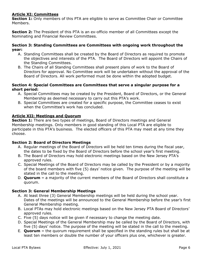#### **Article XI: Committees**

**Section 1:** Only members of this PTA are eligible to serve as Committee Chair or Committee Members.

**Section 2:** The President of this PTA is an ex-officio member of all Committees except the Nominating and Financial Review Committees.

#### **Section 3: Standing Committees are Committees with ongoing work throughout the year:**

- A. Standing Committees shall be created by the Board of Directors as required to promote the objectives and interests of the PTA. The Board of Directors will appoint the Chairs of the Standing Committees.
- B. The Chairs of all Standing Committees shall present plans of work to the Board of Directors for approval. No Committee work will be undertaken without the approval of the Board of Directors. All work performed must be done within the adopted budget.

#### **Section 4: Special Committees are Committees that serve a singular purpose for a short period:**

- A. Special Committees may be created by the President, Board of Directors, or the General Membership as deemed necessary to carry out this PTA's work.
- B. Special Committees are created for a specific purpose, the Committee ceases to exist when the Committee's work has concluded.

#### **Article XII: Meetings and Quorum**

**Section 1:** There are two types of meetings, Board of Directors meetings and General Membership meetings. Only members in good standing of this Local PTA are eligible to participate in this PTA's business. The elected officers of this PTA may meet at any time they choose.

#### **Section 2: Board of Directors Meetings**

- A. Regular meetings of the Board of Directors will be held ten times during the fiscal year, the dates to be fixed by the Board of Directors before the school year's first meeting.
- B. The Board of Directors may hold electronic meetings based on the New Jersey PTA's approved rules.
- C. Special Meetings of the Board of Directors may be called by the President or by a majority of the board members with five (5) days' notice given. The purpose of the meeting will be stated in the call to the meeting.
- D. **Quorum –** a majority of the current members of the Board of Directors shall constitute a quorum.

#### **Section 3: General Membership Meetings**

- A. At least three (3) General Membership meetings will be held during the school year. Dates of the meetings will be announced to the General Membership before the year's first General Membership meeting.
- B. Local PTAs may hold electronic meetings based on the New Jersey PTA Board of Directors' approved rules.
- C. Five (5) days notice will be given if necessary to change the meeting date.
- D. Special Meetings of the General Membership may be called by the Board of Directors, with five (5) days' notice. The purpose of the meeting will be stated in the call to the meeting.
- E. **Quorum –** the quorum requirement shall be specified in the standing rules but shall be at least ten members or double the number of your officers plus one, whichever is greater.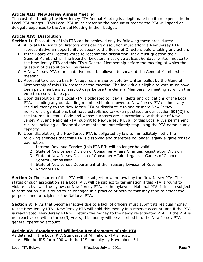#### **Article XIII: New Jersey Annual Meeting**

The cost of attending the New Jersey PTA Annual Meeting is a legitimate line item expense in the Local PTA budget. This Local PTA must prescribe the amount of money the PTA will spend on delegate expenses to the Annual Meeting in their budget.

#### **Article XIV: Dissolution**

**Section 1:** Dissolution of this PTA can be achieved only by following these procedures:

- A. A Local PTA Board of Directors considering dissolution must afford a New Jersey PTA representative an opportunity to speak to the Board of Directors before taking any action.
- B. If the Board of Directors votes to recommend dissolution, they must question their General Membership. The Board of Directors must give at least 60 days' written notice to the New Jersey PTA and this PTA's General Membership before the meeting at which the question of dissolution will be raised.
- C. A New Jersey PTA representative must be allowed to speak at the General Membership meeting.
- D. Approval to dissolve this PTA requires a majority vote by written ballot by the General Membership of this PTA present at the meeting. The individuals eligible to vote must have been paid members at least 60 days before the General Membership meeting at which the vote to dissolve takes place.
- E. Upon dissolution, this Local PTA is obligated to: pay all debts and obligations of the Local PTA, including any outstanding membership dues owed to New Jersey PTA; submit any residual money to the New Jersey PTA or distribute it to one or more New Jersey non-profit organizations that have established tax-exempt status under section 501(C)3 of the Internal Revenue Code and whose purposes are in accordance with those of New Jersey PTA and National PTA; submit to New Jersey PTA all of this Local PTA's permanent records including all financial documents and immediately stop using the PTA name in any capacity.
- F. Upon dissolution, the New Jersey PTA is obligated by law to immediately notify the following agencies that this PTA is dissolved and therefore no longer legally eligible for tax exemption.
	- 1. Internal Revenue Service (this PTA EIN will no longer be valid)
	- 2. State of New Jersey Division of Consumer Affairs Charities Registration Division
	- 3. State of New Jersey Division of Consumer Affairs Legalized Games of Chance Control Commission
	- 4. State of New Jersey Department of the Treasury Division of Revenue
	- 5. National PTA

**Section 2:** The charter of this PTA will be subject to withdrawal by the New Jersey PTA. The status of such association as a Local PTA will be subject to termination if this PTA is found to violate its bylaws, the bylaws of New Jersey PTA, or the bylaws of National PTA. It is also subject to termination if it is found to be engaged in a practice or activity that may tend to defeat the purposes and principles of the National PTA.

**Section 3:** PTAs that become inactive due to a lack of officers must submit its residual money to the New Jersey PTA. New Jersey PTA will hold this money in a reserve account, and if the PTA is reactivated, New Jersey PTA will return the money to the newly re-activated PTA. If the PTA is not reactivated within three (3) years, this money will be absorbed into the New Jersey PTA general operating account.

#### **Article XV: Standards of Affiliation Requirements of this PTA**

As detailed in the Local PTA Standards of Affiliation, PTA's must:

A. File the IRS form 990 with the IRS annually by November 15th.